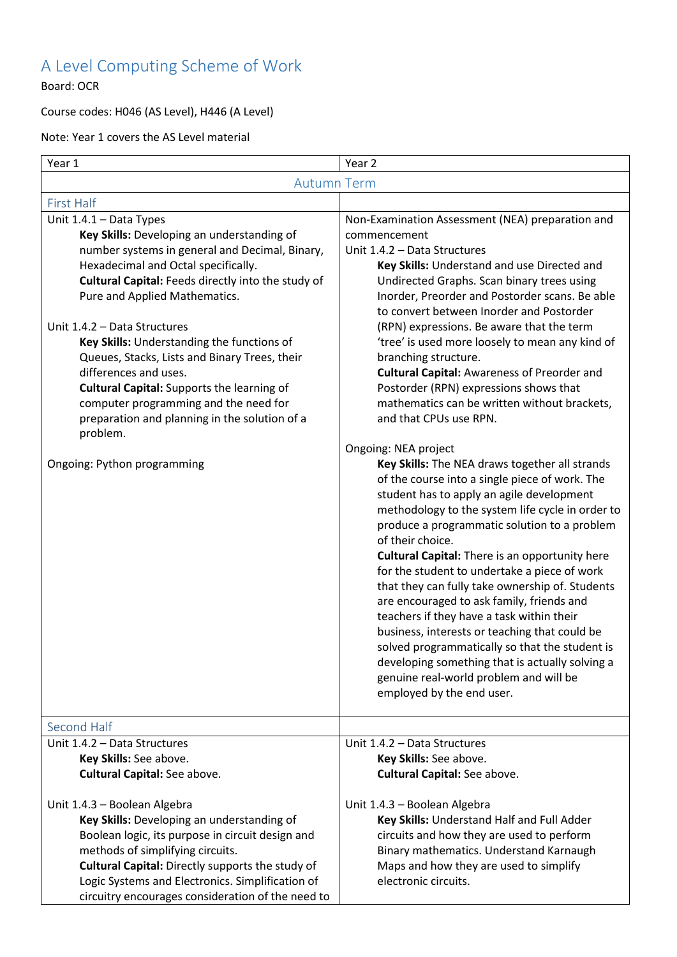## A Level Computing Scheme of Work

Board: OCR

## Course codes: H046 (AS Level), H446 (A Level)

Note: Year 1 covers the AS Level material

| Year 1                                                                                                                                                                                                                                                                                                                                                                                                                                                                                                                                                                                                  | Year 2                                                                                                                                                                                                                                                                                                                                                                                                                                                                                                                                                                                                                                                                                                                                                                                                                                                                                                                                                                                                                                                                                                                                                                                                                                                                                                                                                                            |  |
|---------------------------------------------------------------------------------------------------------------------------------------------------------------------------------------------------------------------------------------------------------------------------------------------------------------------------------------------------------------------------------------------------------------------------------------------------------------------------------------------------------------------------------------------------------------------------------------------------------|-----------------------------------------------------------------------------------------------------------------------------------------------------------------------------------------------------------------------------------------------------------------------------------------------------------------------------------------------------------------------------------------------------------------------------------------------------------------------------------------------------------------------------------------------------------------------------------------------------------------------------------------------------------------------------------------------------------------------------------------------------------------------------------------------------------------------------------------------------------------------------------------------------------------------------------------------------------------------------------------------------------------------------------------------------------------------------------------------------------------------------------------------------------------------------------------------------------------------------------------------------------------------------------------------------------------------------------------------------------------------------------|--|
| <b>Autumn Term</b>                                                                                                                                                                                                                                                                                                                                                                                                                                                                                                                                                                                      |                                                                                                                                                                                                                                                                                                                                                                                                                                                                                                                                                                                                                                                                                                                                                                                                                                                                                                                                                                                                                                                                                                                                                                                                                                                                                                                                                                                   |  |
| <b>First Half</b>                                                                                                                                                                                                                                                                                                                                                                                                                                                                                                                                                                                       |                                                                                                                                                                                                                                                                                                                                                                                                                                                                                                                                                                                                                                                                                                                                                                                                                                                                                                                                                                                                                                                                                                                                                                                                                                                                                                                                                                                   |  |
| Unit 1.4.1 - Data Types<br>Key Skills: Developing an understanding of<br>number systems in general and Decimal, Binary,<br>Hexadecimal and Octal specifically.<br>Cultural Capital: Feeds directly into the study of<br>Pure and Applied Mathematics.<br>Unit 1.4.2 - Data Structures<br>Key Skills: Understanding the functions of<br>Queues, Stacks, Lists and Binary Trees, their<br>differences and uses.<br><b>Cultural Capital:</b> Supports the learning of<br>computer programming and the need for<br>preparation and planning in the solution of a<br>problem.<br>Ongoing: Python programming | Non-Examination Assessment (NEA) preparation and<br>commencement<br>Unit 1.4.2 - Data Structures<br>Key Skills: Understand and use Directed and<br>Undirected Graphs. Scan binary trees using<br>Inorder, Preorder and Postorder scans. Be able<br>to convert between Inorder and Postorder<br>(RPN) expressions. Be aware that the term<br>'tree' is used more loosely to mean any kind of<br>branching structure.<br><b>Cultural Capital: Awareness of Preorder and</b><br>Postorder (RPN) expressions shows that<br>mathematics can be written without brackets,<br>and that CPUs use RPN.<br>Ongoing: NEA project<br>Key Skills: The NEA draws together all strands<br>of the course into a single piece of work. The<br>student has to apply an agile development<br>methodology to the system life cycle in order to<br>produce a programmatic solution to a problem<br>of their choice.<br><b>Cultural Capital:</b> There is an opportunity here<br>for the student to undertake a piece of work<br>that they can fully take ownership of. Students<br>are encouraged to ask family, friends and<br>teachers if they have a task within their<br>business, interests or teaching that could be<br>solved programmatically so that the student is<br>developing something that is actually solving a<br>genuine real-world problem and will be<br>employed by the end user. |  |
| Second Half<br>Unit 1.4.2 - Data Structures                                                                                                                                                                                                                                                                                                                                                                                                                                                                                                                                                             | Unit 1.4.2 - Data Structures                                                                                                                                                                                                                                                                                                                                                                                                                                                                                                                                                                                                                                                                                                                                                                                                                                                                                                                                                                                                                                                                                                                                                                                                                                                                                                                                                      |  |
| Key Skills: See above.                                                                                                                                                                                                                                                                                                                                                                                                                                                                                                                                                                                  | Key Skills: See above.                                                                                                                                                                                                                                                                                                                                                                                                                                                                                                                                                                                                                                                                                                                                                                                                                                                                                                                                                                                                                                                                                                                                                                                                                                                                                                                                                            |  |
| <b>Cultural Capital:</b> See above.                                                                                                                                                                                                                                                                                                                                                                                                                                                                                                                                                                     | <b>Cultural Capital:</b> See above.                                                                                                                                                                                                                                                                                                                                                                                                                                                                                                                                                                                                                                                                                                                                                                                                                                                                                                                                                                                                                                                                                                                                                                                                                                                                                                                                               |  |
| Unit 1.4.3 - Boolean Algebra<br>Key Skills: Developing an understanding of<br>Boolean logic, its purpose in circuit design and<br>methods of simplifying circuits.<br>Cultural Capital: Directly supports the study of<br>Logic Systems and Electronics. Simplification of<br>circuitry encourages consideration of the need to                                                                                                                                                                                                                                                                         | Unit 1.4.3 - Boolean Algebra<br>Key Skills: Understand Half and Full Adder<br>circuits and how they are used to perform<br>Binary mathematics. Understand Karnaugh<br>Maps and how they are used to simplify<br>electronic circuits.                                                                                                                                                                                                                                                                                                                                                                                                                                                                                                                                                                                                                                                                                                                                                                                                                                                                                                                                                                                                                                                                                                                                              |  |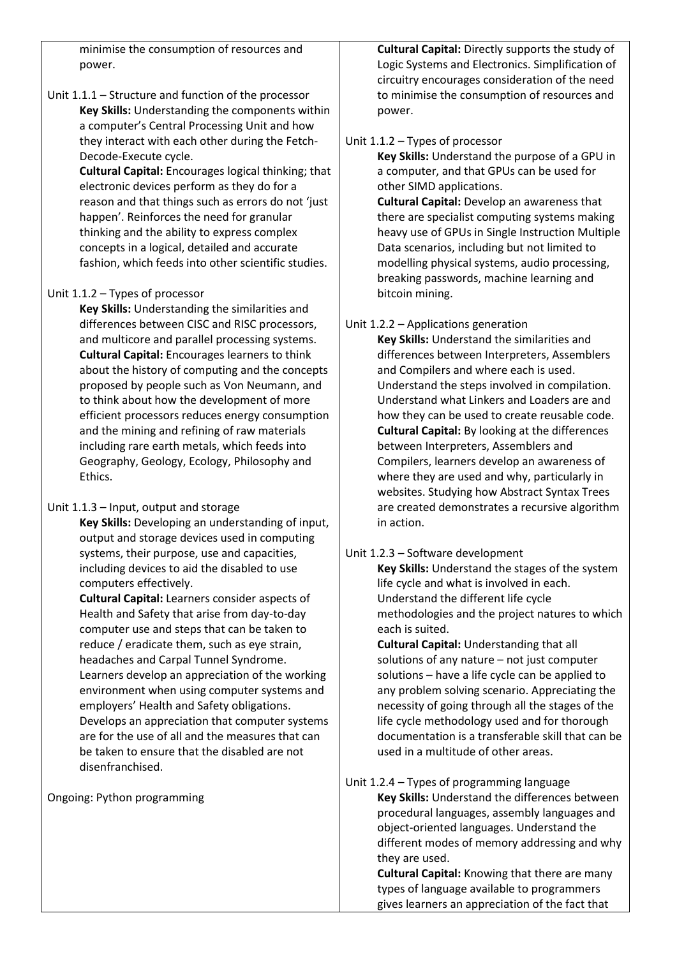minimise the consumption of resources and power.

Unit 1.1.1 – Structure and function of the processor **Key Skills:** Understanding the components within a computer's Central Processing Unit and how they interact with each other during the Fetch-Decode-Execute cycle.

> **Cultural Capital:** Encourages logical thinking; that electronic devices perform as they do for a reason and that things such as errors do not 'just happen'. Reinforces the need for granular thinking and the ability to express complex concepts in a logical, detailed and accurate fashion, which feeds into other scientific studies.

## Unit 1.1.2 – Types of processor

**Key Skills:** Understanding the similarities and differences between CISC and RISC processors, and multicore and parallel processing systems. **Cultural Capital:** Encourages learners to think about the history of computing and the concepts proposed by people such as Von Neumann, and to think about how the development of more efficient processors reduces energy consumption and the mining and refining of raw materials including rare earth metals, which feeds into Geography, Geology, Ecology, Philosophy and Ethics.

Unit 1.1.3 – Input, output and storage

**Key Skills:** Developing an understanding of input, output and storage devices used in computing systems, their purpose, use and capacities, including devices to aid the disabled to use computers effectively.

**Cultural Capital:** Learners consider aspects of Health and Safety that arise from day-to-day computer use and steps that can be taken to reduce / eradicate them, such as eye strain, headaches and Carpal Tunnel Syndrome. Learners develop an appreciation of the working environment when using computer systems and employers' Health and Safety obligations. Develops an appreciation that computer systems are for the use of all and the measures that can be taken to ensure that the disabled are not disenfranchised.

Ongoing: Python programming

**Cultural Capital:** Directly supports the study of Logic Systems and Electronics. Simplification of circuitry encourages consideration of the need to minimise the consumption of resources and power.

## Unit 1.1.2 – Types of processor

**Key Skills:** Understand the purpose of a GPU in a computer, and that GPUs can be used for other SIMD applications.

**Cultural Capital:** Develop an awareness that there are specialist computing systems making heavy use of GPUs in Single Instruction Multiple Data scenarios, including but not limited to modelling physical systems, audio processing, breaking passwords, machine learning and bitcoin mining.

Unit 1.2.2 – Applications generation

**Key Skills:** Understand the similarities and differences between Interpreters, Assemblers and Compilers and where each is used. Understand the steps involved in compilation. Understand what Linkers and Loaders are and how they can be used to create reusable code. **Cultural Capital:** By looking at the differences between Interpreters, Assemblers and Compilers, learners develop an awareness of where they are used and why, particularly in websites. Studying how Abstract Syntax Trees are created demonstrates a recursive algorithm in action.

Unit 1.2.3 – Software development

**Key Skills:** Understand the stages of the system life cycle and what is involved in each. Understand the different life cycle methodologies and the project natures to which each is suited.

**Cultural Capital:** Understanding that all solutions of any nature – not just computer solutions – have a life cycle can be applied to any problem solving scenario. Appreciating the necessity of going through all the stages of the life cycle methodology used and for thorough documentation is a transferable skill that can be used in a multitude of other areas.

Unit 1.2.4 – Types of programming language **Key Skills:** Understand the differences between procedural languages, assembly languages and object-oriented languages. Understand the different modes of memory addressing and why they are used.

> **Cultural Capital:** Knowing that there are many types of language available to programmers gives learners an appreciation of the fact that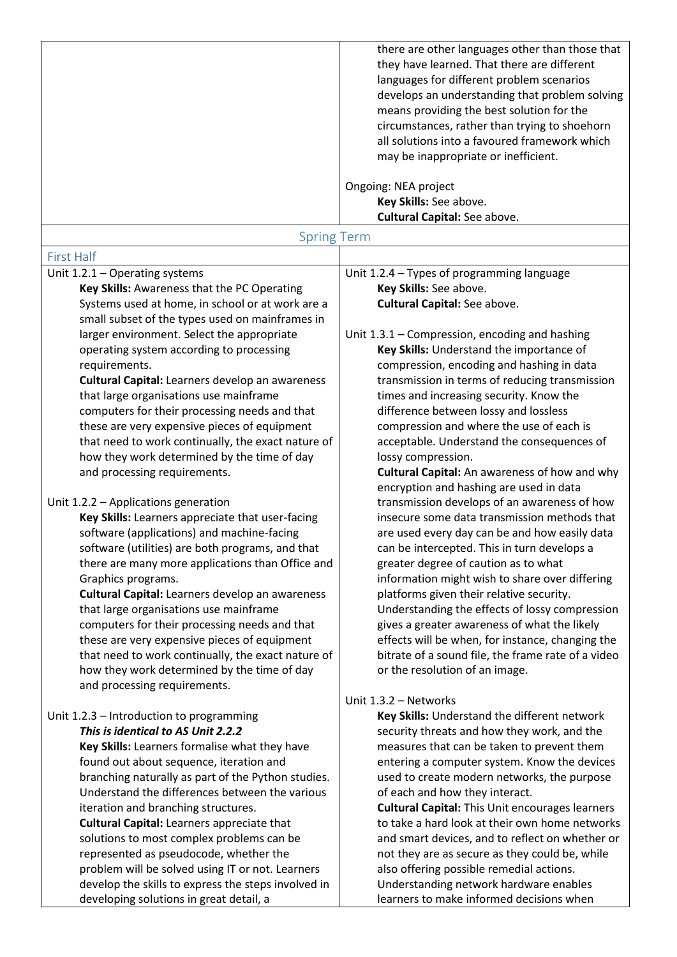|                                                                                                     | there are other languages other than those that<br>they have learned. That there are different<br>languages for different problem scenarios<br>develops an understanding that problem solving<br>means providing the best solution for the<br>circumstances, rather than trying to shoehorn<br>all solutions into a favoured framework which<br>may be inappropriate or inefficient.<br>Ongoing: NEA project<br>Key Skills: See above. |  |
|-----------------------------------------------------------------------------------------------------|----------------------------------------------------------------------------------------------------------------------------------------------------------------------------------------------------------------------------------------------------------------------------------------------------------------------------------------------------------------------------------------------------------------------------------------|--|
| <b>Cultural Capital:</b> See above.<br><b>Spring Term</b>                                           |                                                                                                                                                                                                                                                                                                                                                                                                                                        |  |
| <b>First Half</b>                                                                                   |                                                                                                                                                                                                                                                                                                                                                                                                                                        |  |
| Unit 1.2.1 - Operating systems                                                                      | Unit 1.2.4 - Types of programming language                                                                                                                                                                                                                                                                                                                                                                                             |  |
| Key Skills: Awareness that the PC Operating                                                         | Key Skills: See above.                                                                                                                                                                                                                                                                                                                                                                                                                 |  |
| Systems used at home, in school or at work are a<br>small subset of the types used on mainframes in | <b>Cultural Capital:</b> See above.                                                                                                                                                                                                                                                                                                                                                                                                    |  |
| larger environment. Select the appropriate                                                          | Unit 1.3.1 – Compression, encoding and hashing                                                                                                                                                                                                                                                                                                                                                                                         |  |
| operating system according to processing                                                            | Key Skills: Understand the importance of                                                                                                                                                                                                                                                                                                                                                                                               |  |
| requirements.<br><b>Cultural Capital:</b> Learners develop an awareness                             | compression, encoding and hashing in data<br>transmission in terms of reducing transmission                                                                                                                                                                                                                                                                                                                                            |  |
| that large organisations use mainframe                                                              | times and increasing security. Know the                                                                                                                                                                                                                                                                                                                                                                                                |  |
| computers for their processing needs and that                                                       | difference between lossy and lossless                                                                                                                                                                                                                                                                                                                                                                                                  |  |
| these are very expensive pieces of equipment                                                        | compression and where the use of each is                                                                                                                                                                                                                                                                                                                                                                                               |  |
| that need to work continually, the exact nature of                                                  | acceptable. Understand the consequences of                                                                                                                                                                                                                                                                                                                                                                                             |  |
| how they work determined by the time of day                                                         | lossy compression.                                                                                                                                                                                                                                                                                                                                                                                                                     |  |
| and processing requirements.                                                                        | Cultural Capital: An awareness of how and why                                                                                                                                                                                                                                                                                                                                                                                          |  |
|                                                                                                     | encryption and hashing are used in data                                                                                                                                                                                                                                                                                                                                                                                                |  |
| Unit 1.2.2 - Applications generation                                                                | transmission develops of an awareness of how                                                                                                                                                                                                                                                                                                                                                                                           |  |
| Key Skills: Learners appreciate that user-facing<br>software (applications) and machine-facing      | insecure some data transmission methods that<br>are used every day can be and how easily data                                                                                                                                                                                                                                                                                                                                          |  |
| software (utilities) are both programs, and that                                                    | can be intercepted. This in turn develops a                                                                                                                                                                                                                                                                                                                                                                                            |  |
| there are many more applications than Office and                                                    | greater degree of caution as to what                                                                                                                                                                                                                                                                                                                                                                                                   |  |
| Graphics programs.                                                                                  | information might wish to share over differing                                                                                                                                                                                                                                                                                                                                                                                         |  |
| <b>Cultural Capital:</b> Learners develop an awareness                                              | platforms given their relative security.                                                                                                                                                                                                                                                                                                                                                                                               |  |
| that large organisations use mainframe                                                              | Understanding the effects of lossy compression                                                                                                                                                                                                                                                                                                                                                                                         |  |
| computers for their processing needs and that                                                       | gives a greater awareness of what the likely                                                                                                                                                                                                                                                                                                                                                                                           |  |
| these are very expensive pieces of equipment                                                        | effects will be when, for instance, changing the                                                                                                                                                                                                                                                                                                                                                                                       |  |
| that need to work continually, the exact nature of                                                  | bitrate of a sound file, the frame rate of a video                                                                                                                                                                                                                                                                                                                                                                                     |  |
| how they work determined by the time of day                                                         | or the resolution of an image.                                                                                                                                                                                                                                                                                                                                                                                                         |  |
| and processing requirements.                                                                        |                                                                                                                                                                                                                                                                                                                                                                                                                                        |  |
| Unit 1.2.3 - Introduction to programming                                                            | Unit 1.3.2 - Networks<br>Key Skills: Understand the different network                                                                                                                                                                                                                                                                                                                                                                  |  |
| This is identical to AS Unit 2.2.2                                                                  | security threats and how they work, and the                                                                                                                                                                                                                                                                                                                                                                                            |  |
| Key Skills: Learners formalise what they have                                                       | measures that can be taken to prevent them                                                                                                                                                                                                                                                                                                                                                                                             |  |
| found out about sequence, iteration and                                                             | entering a computer system. Know the devices                                                                                                                                                                                                                                                                                                                                                                                           |  |
| branching naturally as part of the Python studies.                                                  | used to create modern networks, the purpose                                                                                                                                                                                                                                                                                                                                                                                            |  |
| Understand the differences between the various                                                      | of each and how they interact.                                                                                                                                                                                                                                                                                                                                                                                                         |  |
| iteration and branching structures.                                                                 | <b>Cultural Capital: This Unit encourages learners</b>                                                                                                                                                                                                                                                                                                                                                                                 |  |
| <b>Cultural Capital: Learners appreciate that</b>                                                   | to take a hard look at their own home networks                                                                                                                                                                                                                                                                                                                                                                                         |  |
| solutions to most complex problems can be                                                           | and smart devices, and to reflect on whether or                                                                                                                                                                                                                                                                                                                                                                                        |  |
| represented as pseudocode, whether the<br>problem will be solved using IT or not. Learners          | not they are as secure as they could be, while<br>also offering possible remedial actions.                                                                                                                                                                                                                                                                                                                                             |  |
| develop the skills to express the steps involved in                                                 | Understanding network hardware enables                                                                                                                                                                                                                                                                                                                                                                                                 |  |
| developing solutions in great detail, a                                                             | learners to make informed decisions when                                                                                                                                                                                                                                                                                                                                                                                               |  |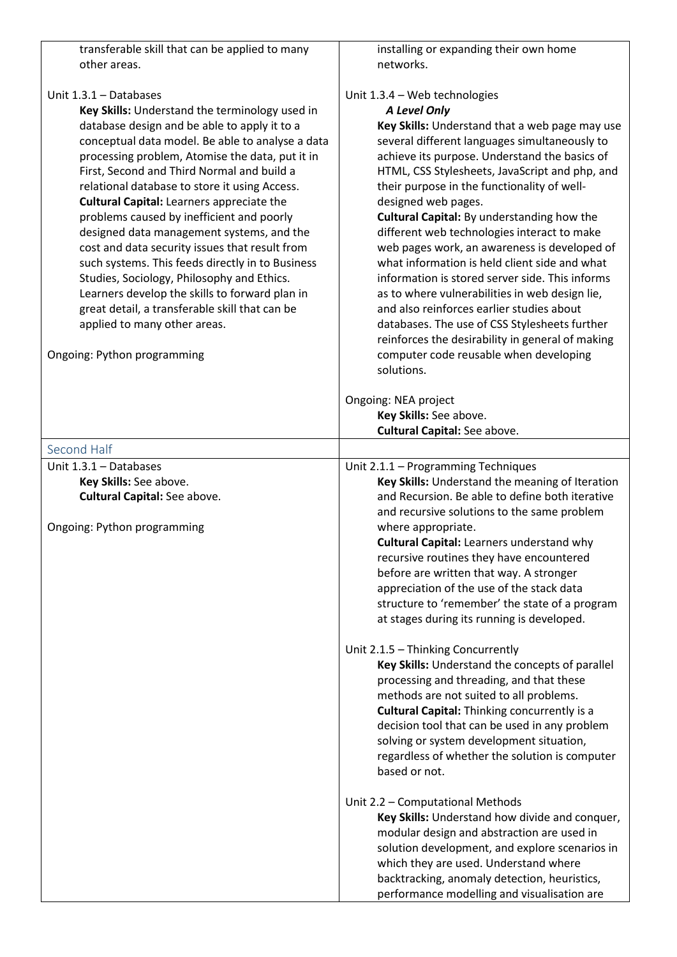| transferable skill that can be applied to many<br>other areas.                                                                                                                                                                                                                                                                                                                                                                                                                                                                                                                                                                                                                                                                                                                                      | installing or expanding their own home<br>networks.                                                                                                                                                                                                                                                                                                                                                                                                                                                                                                                                                                                                                                                                                                                                                                                    |
|-----------------------------------------------------------------------------------------------------------------------------------------------------------------------------------------------------------------------------------------------------------------------------------------------------------------------------------------------------------------------------------------------------------------------------------------------------------------------------------------------------------------------------------------------------------------------------------------------------------------------------------------------------------------------------------------------------------------------------------------------------------------------------------------------------|----------------------------------------------------------------------------------------------------------------------------------------------------------------------------------------------------------------------------------------------------------------------------------------------------------------------------------------------------------------------------------------------------------------------------------------------------------------------------------------------------------------------------------------------------------------------------------------------------------------------------------------------------------------------------------------------------------------------------------------------------------------------------------------------------------------------------------------|
| Unit 1.3.1 - Databases<br>Key Skills: Understand the terminology used in<br>database design and be able to apply it to a<br>conceptual data model. Be able to analyse a data<br>processing problem, Atomise the data, put it in<br>First, Second and Third Normal and build a<br>relational database to store it using Access.<br><b>Cultural Capital: Learners appreciate the</b><br>problems caused by inefficient and poorly<br>designed data management systems, and the<br>cost and data security issues that result from<br>such systems. This feeds directly in to Business<br>Studies, Sociology, Philosophy and Ethics.<br>Learners develop the skills to forward plan in<br>great detail, a transferable skill that can be<br>applied to many other areas.<br>Ongoing: Python programming | Unit 1.3.4 - Web technologies<br>A Level Only<br>Key Skills: Understand that a web page may use<br>several different languages simultaneously to<br>achieve its purpose. Understand the basics of<br>HTML, CSS Stylesheets, JavaScript and php, and<br>their purpose in the functionality of well-<br>designed web pages.<br>Cultural Capital: By understanding how the<br>different web technologies interact to make<br>web pages work, an awareness is developed of<br>what information is held client side and what<br>information is stored server side. This informs<br>as to where vulnerabilities in web design lie,<br>and also reinforces earlier studies about<br>databases. The use of CSS Stylesheets further<br>reinforces the desirability in general of making<br>computer code reusable when developing<br>solutions. |
|                                                                                                                                                                                                                                                                                                                                                                                                                                                                                                                                                                                                                                                                                                                                                                                                     | Ongoing: NEA project<br>Key Skills: See above.<br><b>Cultural Capital:</b> See above.                                                                                                                                                                                                                                                                                                                                                                                                                                                                                                                                                                                                                                                                                                                                                  |
| Second Half                                                                                                                                                                                                                                                                                                                                                                                                                                                                                                                                                                                                                                                                                                                                                                                         |                                                                                                                                                                                                                                                                                                                                                                                                                                                                                                                                                                                                                                                                                                                                                                                                                                        |
| Unit 1.3.1 - Databases<br>Key Skills: See above.<br>Cultural Capital: See above.<br>Ongoing: Python programming                                                                                                                                                                                                                                                                                                                                                                                                                                                                                                                                                                                                                                                                                     | Unit 2.1.1 - Programming Techniques<br>Key Skills: Understand the meaning of Iteration<br>and Recursion. Be able to define both iterative<br>and recursive solutions to the same problem<br>where appropriate.<br><b>Cultural Capital: Learners understand why</b><br>recursive routines they have encountered<br>before are written that way. A stronger<br>appreciation of the use of the stack data<br>structure to 'remember' the state of a program<br>at stages during its running is developed.<br>Unit 2.1.5 - Thinking Concurrently<br>Key Skills: Understand the concepts of parallel<br>processing and threading, and that these<br>methods are not suited to all problems.<br><b>Cultural Capital: Thinking concurrently is a</b>                                                                                          |
|                                                                                                                                                                                                                                                                                                                                                                                                                                                                                                                                                                                                                                                                                                                                                                                                     | decision tool that can be used in any problem<br>solving or system development situation,<br>regardless of whether the solution is computer<br>based or not.<br>Unit 2.2 - Computational Methods<br>Key Skills: Understand how divide and conquer,<br>modular design and abstraction are used in<br>solution development, and explore scenarios in<br>which they are used. Understand where<br>backtracking, anomaly detection, heuristics,<br>performance modelling and visualisation are                                                                                                                                                                                                                                                                                                                                             |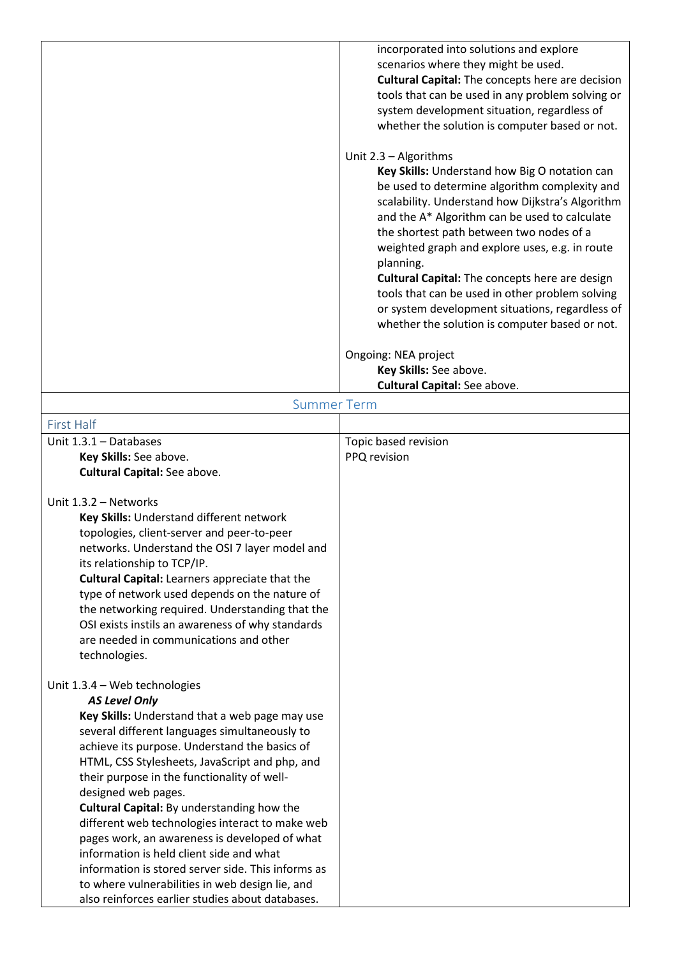|                                                                                                                                                                                                                                                                                                                                                                                                                                                                                                                                                                                                                                     | incorporated into solutions and explore<br>scenarios where they might be used.<br><b>Cultural Capital:</b> The concepts here are decision<br>tools that can be used in any problem solving or<br>system development situation, regardless of<br>whether the solution is computer based or not.<br>Unit 2.3 - Algorithms<br>Key Skills: Understand how Big O notation can<br>be used to determine algorithm complexity and<br>scalability. Understand how Dijkstra's Algorithm<br>and the A* Algorithm can be used to calculate<br>the shortest path between two nodes of a<br>weighted graph and explore uses, e.g. in route<br>planning.<br><b>Cultural Capital:</b> The concepts here are design<br>tools that can be used in other problem solving<br>or system development situations, regardless of<br>whether the solution is computer based or not.<br>Ongoing: NEA project<br>Key Skills: See above.<br>Cultural Capital: See above. |
|-------------------------------------------------------------------------------------------------------------------------------------------------------------------------------------------------------------------------------------------------------------------------------------------------------------------------------------------------------------------------------------------------------------------------------------------------------------------------------------------------------------------------------------------------------------------------------------------------------------------------------------|----------------------------------------------------------------------------------------------------------------------------------------------------------------------------------------------------------------------------------------------------------------------------------------------------------------------------------------------------------------------------------------------------------------------------------------------------------------------------------------------------------------------------------------------------------------------------------------------------------------------------------------------------------------------------------------------------------------------------------------------------------------------------------------------------------------------------------------------------------------------------------------------------------------------------------------------|
| <b>Summer Term</b>                                                                                                                                                                                                                                                                                                                                                                                                                                                                                                                                                                                                                  |                                                                                                                                                                                                                                                                                                                                                                                                                                                                                                                                                                                                                                                                                                                                                                                                                                                                                                                                              |
| <b>First Half</b>                                                                                                                                                                                                                                                                                                                                                                                                                                                                                                                                                                                                                   |                                                                                                                                                                                                                                                                                                                                                                                                                                                                                                                                                                                                                                                                                                                                                                                                                                                                                                                                              |
| Unit 1.3.1 - Databases                                                                                                                                                                                                                                                                                                                                                                                                                                                                                                                                                                                                              | Topic based revision                                                                                                                                                                                                                                                                                                                                                                                                                                                                                                                                                                                                                                                                                                                                                                                                                                                                                                                         |
| Key Skills: See above.                                                                                                                                                                                                                                                                                                                                                                                                                                                                                                                                                                                                              | PPQ revision                                                                                                                                                                                                                                                                                                                                                                                                                                                                                                                                                                                                                                                                                                                                                                                                                                                                                                                                 |
| <b>Cultural Capital:</b> See above.                                                                                                                                                                                                                                                                                                                                                                                                                                                                                                                                                                                                 |                                                                                                                                                                                                                                                                                                                                                                                                                                                                                                                                                                                                                                                                                                                                                                                                                                                                                                                                              |
|                                                                                                                                                                                                                                                                                                                                                                                                                                                                                                                                                                                                                                     |                                                                                                                                                                                                                                                                                                                                                                                                                                                                                                                                                                                                                                                                                                                                                                                                                                                                                                                                              |
| Unit 1.3.2 - Networks<br>Key Skills: Understand different network<br>topologies, client-server and peer-to-peer<br>networks. Understand the OSI 7 layer model and<br>its relationship to TCP/IP.<br><b>Cultural Capital:</b> Learners appreciate that the<br>type of network used depends on the nature of<br>the networking required. Understanding that the<br>OSI exists instils an awareness of why standards<br>are needed in communications and other<br>technologies.                                                                                                                                                        |                                                                                                                                                                                                                                                                                                                                                                                                                                                                                                                                                                                                                                                                                                                                                                                                                                                                                                                                              |
| Unit 1.3.4 - Web technologies                                                                                                                                                                                                                                                                                                                                                                                                                                                                                                                                                                                                       |                                                                                                                                                                                                                                                                                                                                                                                                                                                                                                                                                                                                                                                                                                                                                                                                                                                                                                                                              |
| <b>AS Level Only</b>                                                                                                                                                                                                                                                                                                                                                                                                                                                                                                                                                                                                                |                                                                                                                                                                                                                                                                                                                                                                                                                                                                                                                                                                                                                                                                                                                                                                                                                                                                                                                                              |
| Key Skills: Understand that a web page may use<br>several different languages simultaneously to<br>achieve its purpose. Understand the basics of<br>HTML, CSS Stylesheets, JavaScript and php, and<br>their purpose in the functionality of well-<br>designed web pages.<br>Cultural Capital: By understanding how the<br>different web technologies interact to make web<br>pages work, an awareness is developed of what<br>information is held client side and what<br>information is stored server side. This informs as<br>to where vulnerabilities in web design lie, and<br>also reinforces earlier studies about databases. |                                                                                                                                                                                                                                                                                                                                                                                                                                                                                                                                                                                                                                                                                                                                                                                                                                                                                                                                              |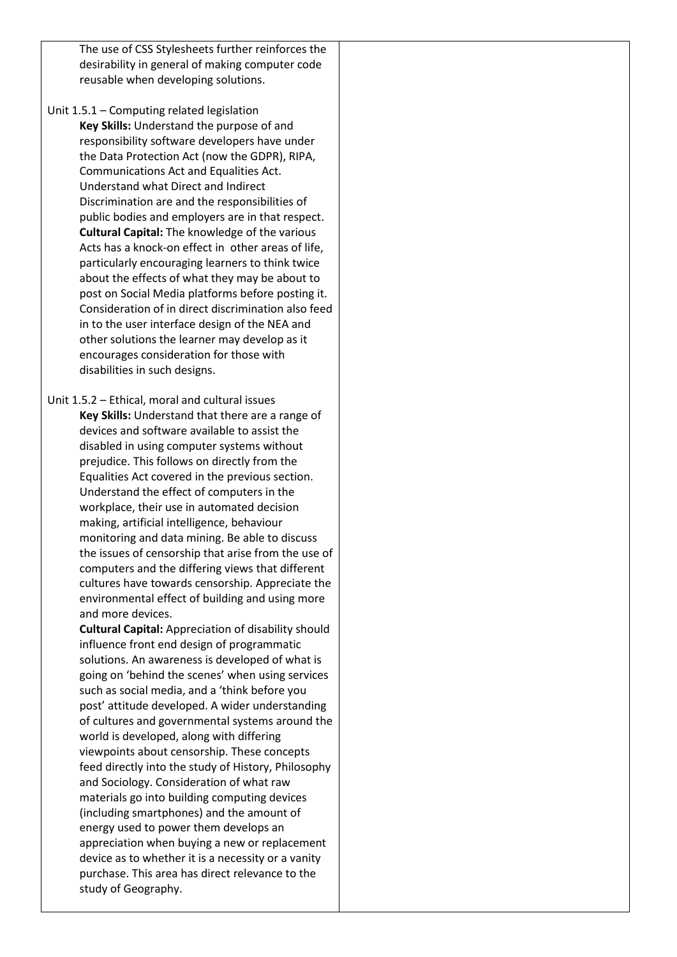The use of CSS Stylesheets further reinforces the desirability in general of making computer code reusable when developing solutions.

Unit 1.5.1 – Computing related legislation **Key Skills:** Understand the purpose of and responsibility software developers have under the Data Protection Act (now the GDPR), RIPA, Communications Act and Equalities Act. Understand what Direct and Indirect Discrimination are and the responsibilities of public bodies and employers are in that respect. **Cultural Capital:** The knowledge of the various Acts has a knock-on effect in other areas of life, particularly encouraging learners to think twice about the effects of what they may be about to post on Social Media platforms before posting it. Consideration of in direct discrimination also feed in to the user interface design of the NEA and other solutions the learner may develop as it encourages consideration for those with disabilities in such designs.

Unit 1.5.2 – Ethical, moral and cultural issues **Key Skills:** Understand that there are a range of devices and software available to assist the disabled in using computer systems without prejudice. This follows on directly from the Equalities Act covered in the previous section. Understand the effect of computers in the workplace, their use in automated decision making, artificial intelligence, behaviour monitoring and data mining. Be able to discuss the issues of censorship that arise from the use of computers and the differing views that different cultures have towards censorship. Appreciate the environmental effect of building and using more and more devices.

> **Cultural Capital:** Appreciation of disability should influence front end design of programmatic solutions. An awareness is developed of what is going on 'behind the scenes' when using services such as social media, and a 'think before you post' attitude developed. A wider understanding of cultures and governmental systems around the world is developed, along with differing viewpoints about censorship. These concepts feed directly into the study of History, Philosophy and Sociology. Consideration of what raw materials go into building computing devices (including smartphones) and the amount of energy used to power them develops an appreciation when buying a new or replacement device as to whether it is a necessity or a vanity purchase. This area has direct relevance to the study of Geography.